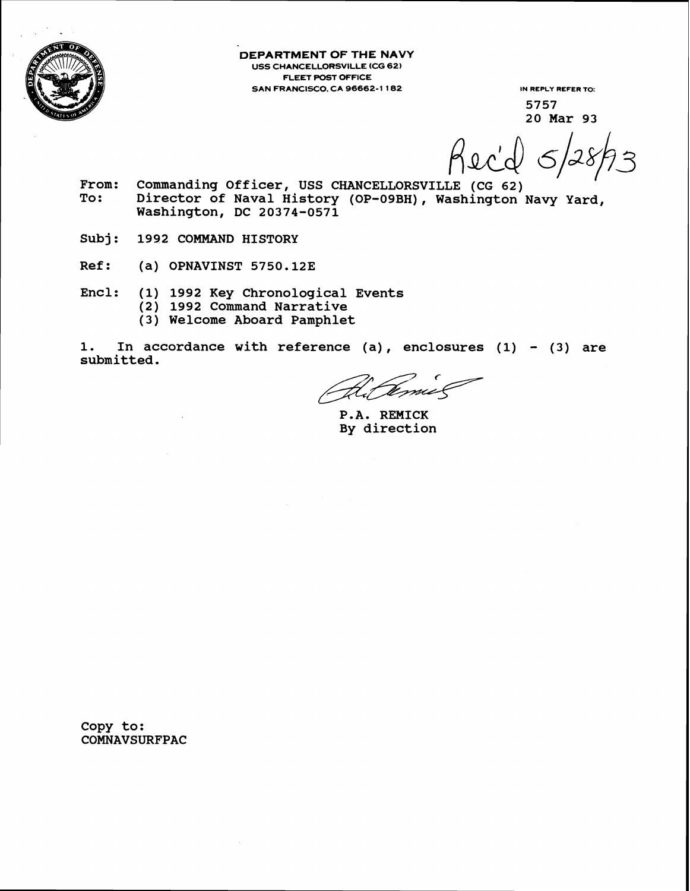

**DEPARTMENT OF THE NAVY USS CHANCELLORSVILLE (CG 62) FLEET POST OFFICE SAN FRANCISCO. CA 96662-1 182 IN REPLY REFER TO:** 

**5757 20 Mar 93** 

Reci

- From: Commanding Officer, USS CHANCELLORSVILLE (CG 62)<br>To: Director of Naval History (OP-09BH). Washington Director of Naval History (OP-09BH), Washington Navy Yard, **Washington, DC 20374-0571**
- **Subj** : **1992 COMMAND HISTORY**
- **Ref: (a) OPNAVINST 5750.12E**
- **Encl: (1) 1992 Key Chronological Events** 
	- **(2) 1992 Command Narrative** 
		- **(3) Welcome Aboard Pamphlet**

**1. In accordance with reference (a)** , **enclosures (1)** - **(3) are submitted.** 

til Temis

**P.A. REMICK By direction** 

**Copy to: COMNAVSURFPAC**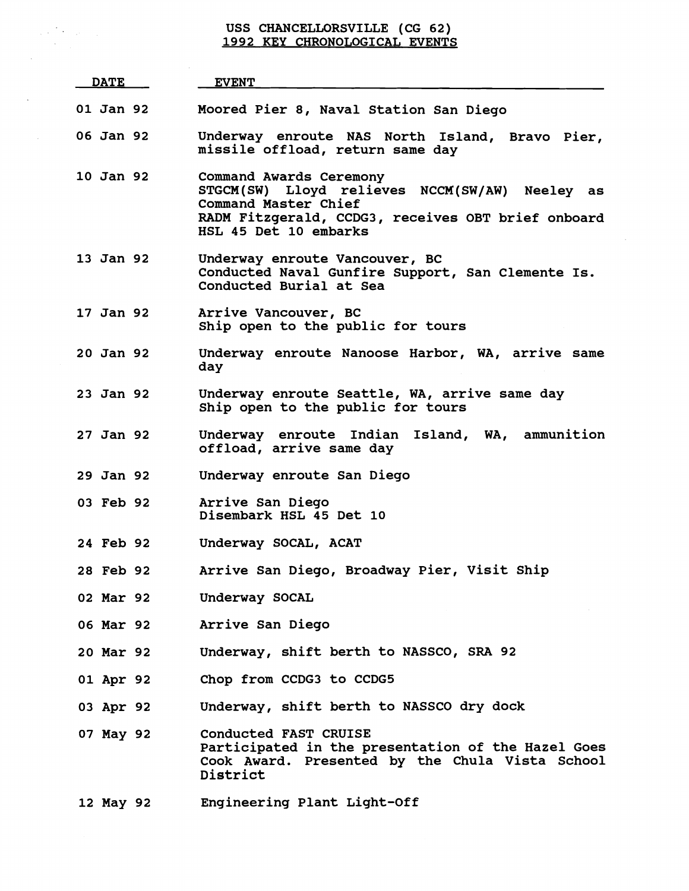## **USS CHANCELLORSVILLE (CG 62) 1992 KEY CHRONOLOGICAL EVENTS**

 $\label{eq:2} \frac{1}{2}\left(\frac{1}{2}\right)^2\left(\frac{1}{2}\right)^2\left(\frac{1}{2}\right)^2\left(\frac{1}{2}\right)^2.$  $\mathcal{H}^{\text{c}}_{\text{c}}$  .

| <u>DATE</u>      | <b>EVENT</b>                                                                                                                                                                     |
|------------------|----------------------------------------------------------------------------------------------------------------------------------------------------------------------------------|
| 01 Jan 92        | Moored Pier 8, Naval Station San Diego                                                                                                                                           |
| 06 Jan 92        | Underway enroute NAS North Island, Bravo Pier,<br>missile offload, return same day                                                                                               |
| 10 Jan 92        | Command Awards Ceremony<br>STGCM(SW) Lloyd relieves NCCM(SW/AW) Neeley as<br>Command Master Chief<br>RADM Fitzgerald, CCDG3, receives OBT brief onboard<br>HSL 45 Det 10 embarks |
| 13 Jan 92        | Underway enroute Vancouver, BC<br>Conducted Naval Gunfire Support, San Clemente Is.<br>Conducted Burial at Sea                                                                   |
| 17 Jan 92        | Arrive Vancouver, BC<br>Ship open to the public for tours                                                                                                                        |
| 20 Jan 92        | Underway enroute Nanoose Harbor, WA, arrive same<br>day                                                                                                                          |
| 23 Jan 92        | Underway enroute Seattle, WA, arrive same day<br>Ship open to the public for tours                                                                                               |
| 27 Jan 92        | Underway enroute Indian Island, WA, ammunition<br>offload, arrive same day                                                                                                       |
| 29 Jan 92        | Underway enroute San Diego                                                                                                                                                       |
| 03 Feb 92        | Arrive San Diego<br>Disembark HSL 45 Det 10                                                                                                                                      |
| 24 Feb 92        | Underway SOCAL, ACAT                                                                                                                                                             |
| 28 Feb 92        | Arrive San Diego, Broadway Pier, Visit Ship                                                                                                                                      |
| <b>02 Mar 92</b> | Underway SOCAL                                                                                                                                                                   |
| <b>06 Mar 92</b> | Arrive San Diego                                                                                                                                                                 |
| 20 Mar 92        | Underway, shift berth to NASSCO, SRA 92                                                                                                                                          |
| 01 Apr 92        | Chop from CCDG3 to CCDG5                                                                                                                                                         |
| 03 Apr 92        | Underway, shift berth to NASSCO dry dock                                                                                                                                         |
| 07 May 92        | Conducted FAST CRUISE<br>Participated in the presentation of the Hazel Goes<br>Cook Award. Presented by the Chula Vista School<br>District                                       |
| 12 May 92        | Engineering Plant Light-Off                                                                                                                                                      |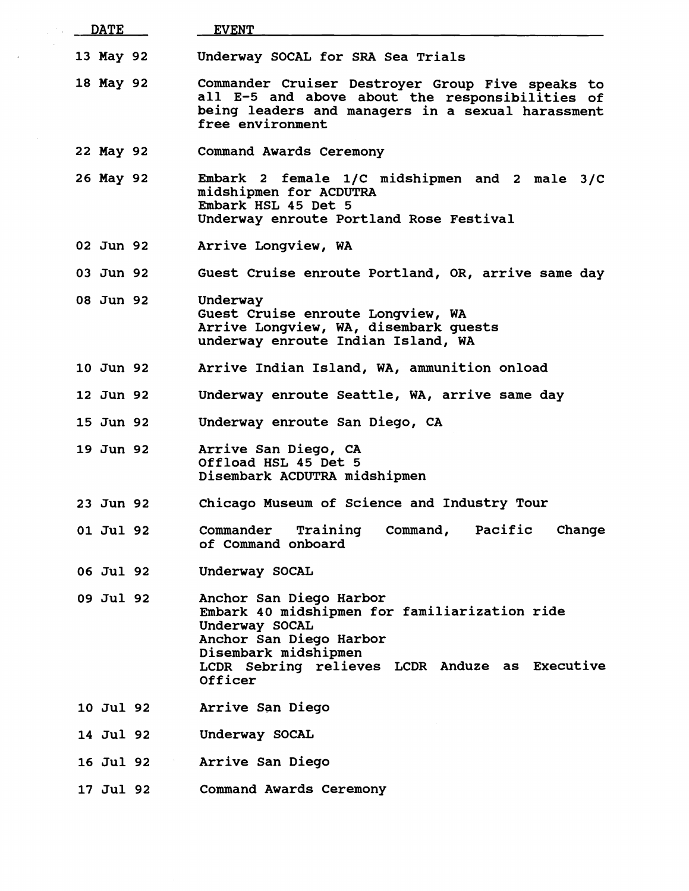| <b>DATE</b> | <b>EVENT</b>                                                                                                                                                                                               |
|-------------|------------------------------------------------------------------------------------------------------------------------------------------------------------------------------------------------------------|
| 13 May 92   | Underway SOCAL for SRA Sea Trials                                                                                                                                                                          |
| 18 May 92   | Commander Cruiser Destroyer Group Five speaks to<br>all E-5 and above about the responsibilities of<br>being leaders and managers in a sexual harassment<br>free environment                               |
| 22 May 92   | Command Awards Ceremony                                                                                                                                                                                    |
| 26 May 92   | Embark 2 female 1/C midshipmen and 2 male 3/C<br>midshipmen for ACDUTRA<br>Embark HSL 45 Det 5<br>Underway enroute Portland Rose Festival                                                                  |
| 02 Jun 92   | Arrive Longview, WA                                                                                                                                                                                        |
| 03 Jun 92   | Guest Cruise enroute Portland, OR, arrive same day                                                                                                                                                         |
| 08 Jun 92   | Underway<br>Guest Cruise enroute Longview, WA<br>Arrive Longview, WA, disembark quests<br>underway enroute Indian Island, WA                                                                               |
| 10 Jun 92   | Arrive Indian Island, WA, ammunition onload                                                                                                                                                                |
| 12 Jun 92   | Underway enroute Seattle, WA, arrive same day                                                                                                                                                              |
| 15 Jun 92   | Underway enroute San Diego, CA                                                                                                                                                                             |
| 19 Jun 92   | Arrive San Diego, CA<br>Offload HSL 45 Det 5<br>Disembark ACDUTRA midshipmen                                                                                                                               |
| 23 Jun 92   | Chicago Museum of Science and Industry Tour                                                                                                                                                                |
| 01 Jul 92   | Command, Pacific<br>Change<br>Commander Training<br>of Command onboard                                                                                                                                     |
| 06 Jul 92   | Underway SOCAL                                                                                                                                                                                             |
| 09 Jul 92   | Anchor San Diego Harbor<br>Embark 40 midshipmen for familiarization ride<br>Underway SOCAL<br>Anchor San Diego Harbor<br>Disembark midshipmen<br>LCDR Sebring relieves LCDR Anduze as Executive<br>Officer |
| 10 Jul 92   | Arrive San Diego                                                                                                                                                                                           |
| 14 Jul 92   | Underway SOCAL                                                                                                                                                                                             |
| 16 Jul 92   | Arrive San Diego                                                                                                                                                                                           |
| 17 Jul 92   | Command Awards Ceremony                                                                                                                                                                                    |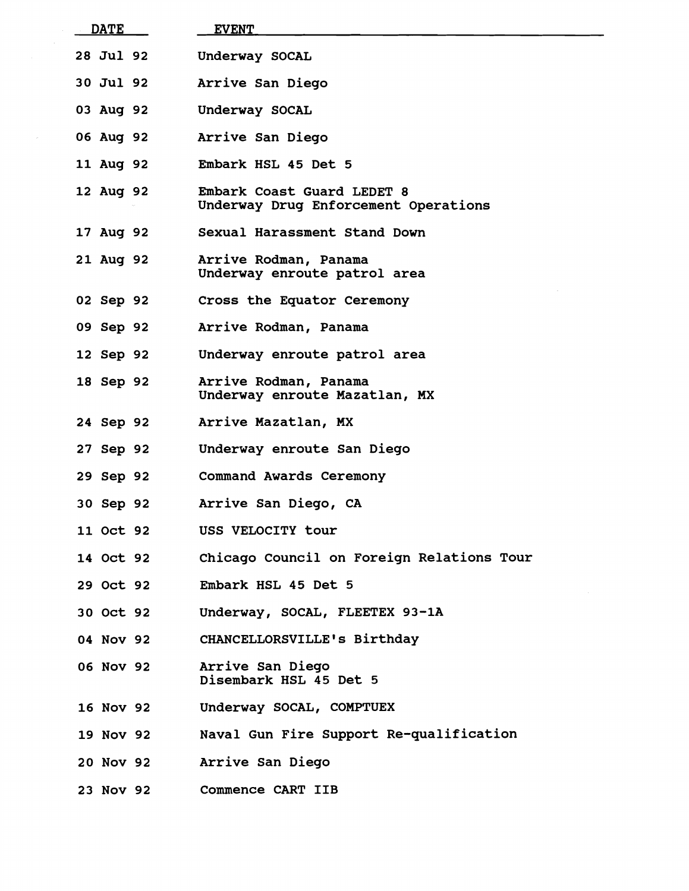| <b>DATE</b>      | <b>EVENT</b>                                                       |
|------------------|--------------------------------------------------------------------|
| <b>28 Jul 92</b> | Underway SOCAL                                                     |
| <b>30 Jul 92</b> | Arrive San Diego                                                   |
| 03 Aug 92        | Underway SOCAL                                                     |
| 06 Aug 92        | Arrive San Diego                                                   |
| 11 Aug 92        | Embark HSL 45 Det 5                                                |
| 12 Aug 92        | Embark Coast Guard LEDET 8<br>Underway Drug Enforcement Operations |
| 17 Aug 92        | Sexual Harassment Stand Down                                       |
| 21 Aug 92        | Arrive Rodman, Panama<br>Underway enroute patrol area              |
| 02 Sep 92        | Cross the Equator Ceremony                                         |
| 09 Sep 92        | Arrive Rodman, Panama                                              |
| 12 Sep 92        | Underway enroute patrol area                                       |
| 18 Sep 92        | Arrive Rodman, Panama<br>Underway enroute Mazatlan, MX             |
| 24 Sep 92        | Arrive Mazatlan, MX                                                |
| 27 Sep 92        | Underway enroute San Diego                                         |
| 29 Sep 92        | <b>Command Awards Ceremony</b>                                     |
| 30 Sep 92        | Arrive San Diego, CA                                               |
| <b>11 Oct 92</b> | USS VELOCITY tour                                                  |
| 14 Oct 92        | Chicago Council on Foreign Relations Tour                          |
| 29 Oct 92        | Embark HSL 45 Det 5                                                |
| 30 Oct 92        | Underway, SOCAL, FLEETEX 93-1A                                     |
| 04 Nov 92        | CHANCELLORSVILLE's Birthday                                        |
| 06 Nov 92        | Arrive San Diego<br>Disembark HSL 45 Det 5                         |
| 16 Nov 92        | Underway SOCAL, COMPTUEX                                           |
| 19 Nov 92        | Naval Gun Fire Support Re-qualification                            |
| 20 Nov 92        | Arrive San Diego                                                   |
| 23 Nov 92        | Commence CART IIB                                                  |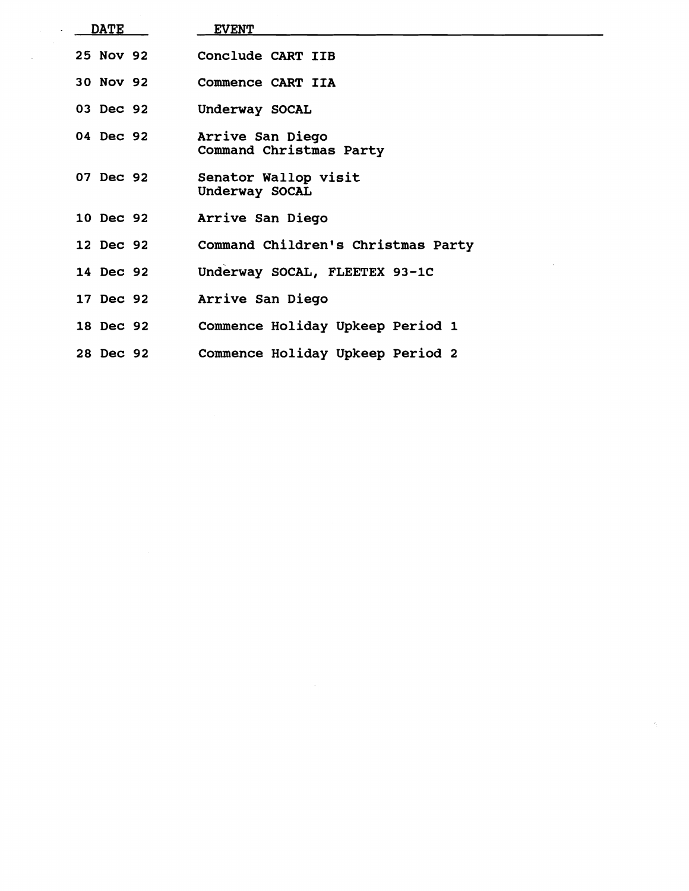| <b>DATE</b> | <b>EVENT</b>                                |
|-------------|---------------------------------------------|
| 25 Nov 92   | Conclude CART IIB                           |
| 30 Nov 92   | Commence CART IIA                           |
| 03 Dec 92   | Underway SOCAL                              |
| 04 Dec 92   | Arrive San Diego<br>Command Christmas Party |
| 07 Dec 92   | Senator Wallop visit<br>Underway SOCAL      |
| 10 Dec 92   | Arrive San Diego                            |
| 12 Dec 92   | Command Children's Christmas Party          |
| 14 Dec 92   | Underway SOCAL, FLEETEX 93-1C               |
| 17 Dec 92   | Arrive San Diego                            |
| 18 Dec 92   | Commence Holiday Upkeep Period 1            |
| 28 Dec 92   | Commence Holiday Upkeep Period 2            |

 $\label{eq:2.1} \frac{1}{\sqrt{2}}\int_{\mathbb{R}^3}\frac{1}{\sqrt{2}}\left(\frac{1}{\sqrt{2}}\right)^2\frac{1}{\sqrt{2}}\left(\frac{1}{\sqrt{2}}\right)^2\frac{1}{\sqrt{2}}\left(\frac{1}{\sqrt{2}}\right)^2\frac{1}{\sqrt{2}}\left(\frac{1}{\sqrt{2}}\right)^2.$ 

 $\sim 30$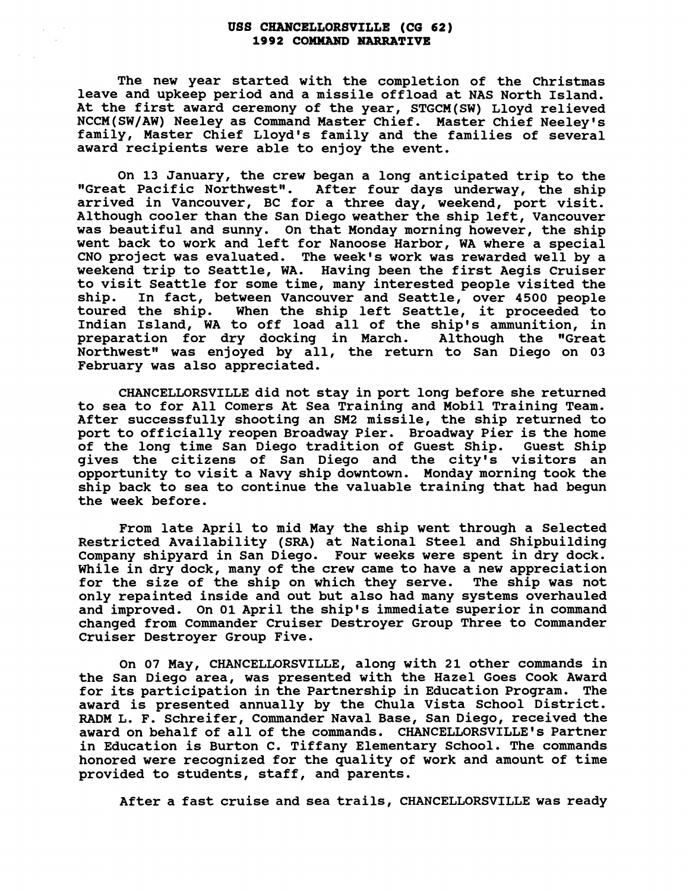## **USS CHANCELLORSVILLE (CG 62) 1992 COBWAND NARRATIVE**

**The new year started with the completion of the Christmas leave and upkeep period and a missile offload at NAS North Island. At the first award ceremony of the year, STGCM(SW) Lloyd relieved NCCM(SW/AW) Neeley as Command Master Chief. Master Chief Neeley's family, Master Chief Lloyd's family and the families of several award recipients were able to enjoy the event.** 

**On 13 January, the crew began a long anticipated trip to the**  "Great Pacific Northwest". After four days underway, the ship **arrived in Vancouver, BC for a three day, weekend, port visit. Although cooler than the San Diego weather the ship left, Vancouver was beautiful and sunny. On that Monday morning however, the ship went back to work and left for Nanoose Harbor, WA where a special CNO project was evaluated. The week's work was rewarded well by a weekend trip to Seattle, WA. Having been the first Aegis Cruiser to visit Seattle for some time, many interested people visited the ship. In fact, between Vancouver and Seattle, over 4500 people toured the ship. When the ship left Seattle, it proceeded to Indian Island, WA to off load all of the ship's ammunition, in preparation for dry docking in March. Although the "Great**  Northwest" was enjoyed by all, the return to San Diego on 03 **February was also appreciated.** 

**CHANCELLORSVILLE did not stay in port long before she returned to sea to for All Comers At Sea Training and Mobil Training Team. After successfully shooting an SM2 missile, the ship returned to port to officially reopen Broadway Pier. Broadway Pier is the home**  of the long time San Diego tradition of Guest Ship. **gives the citizens of San Diego and the city's visitors an opportunity to visit a Navy ship downtown. Monday morning took the ship back to sea to continue the valuable training that had begun the week before.** 

**From late April to mid May the ship went through a Selected Restricted Availability (SRA) at National Steel and Shipbuilding Company shipyard in San Diego. Four weeks were spent in dry dock. While in dry dock, many of the crew came to have a new appreciation for the size of the ship on which they serve. The ship was not only repainted inside and out but also had many systems overhauled and improved. On 01 April the ship's immediate superior in command changed from Commander Cruiser Destroyer Group Three to Commander Cruiser Destroyer Group Five.** 

**On 07 May, CHANCELLORSVILLE, along with 21 other commands in the San Diego area, was presented with the Hazel Goes Cook Award for its participation in the Partnership in Education Program. The award is presented annually by the Chula Vista School District.**  RADM L. F. Schreifer, Commander Naval Base, San Diego, received the **award on behalf of all of the commands. CHANCELLORSVILLE's Partner in Education is Burton C. Tiffany Elementary School. The commands honored were recognized for the quality of work and amount of time provided to students, staff, and parents.** 

**After a fast cruise and sea trails, CHANCELLORSVILLE was ready**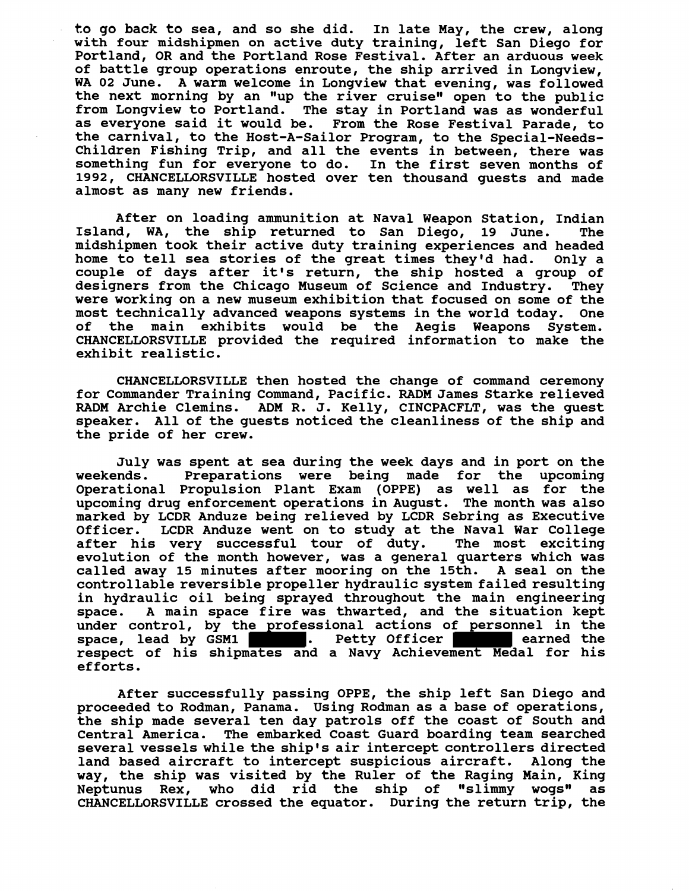**to go back to sea, and so she did. In late May, the crew, along with four midshipmen on active duty training, left San Diego for Portland, OR and the Portland Rose Festival. After an arduous week of battle group operations enroute, the ship arrived in Longview, WA 02 June. A warm welcome in Longview that evening, was followed**  the next morning by an "up the river cruise" open to the public **from Longview to Portland. The stay in Portland was as wonderful as everyone said it would be. From the Rose Festival Parade, to the carnival, to the Host-A-Sailor Program, to the Special-Needs-Children Fishing Trip, and all the events in between, there was something fun for everyone to do. In the first seven months of 1992, CHANCELLORSVILLE hosted over ten thousand guests and made almost as many new friends.** 

**After on loading ammunition at Naval Weapon Station, Indian Island, WA, the ship returned to San Diego, 19 June. The midshipmen took their active duty training experiences and headed home to tell sea stories of the great times they'd had. Only a couple of days after it's return, the ship hosted a group of designers from the Chicago Museum of Science and Industry. They were working on a new museum exhibition that focused on some of the most technically advanced weapons systems in the world today. One of the main exhibits would be the Aegis Weapons System. CHANCELLORSVILLE provided the required information to make the exhibit realistic.** 

**CHANCELLORSVILLE then hosted the change of command ceremony for Commander Training Command, Pacific. RADM James Starke relieved RADM Archie Clemins. ADM R. J. Kelly, CINCPACFLT, was the guest speaker. All of the guests noticed the cleanliness of the ship and the pride of her crew.** 

**July was spent at sea during the week days and in port on the weekends. Preparations were being made for the upcoming Operational Propulsion Plant Exam (OPPE) as well as for the upcoming drug enforcement operations in August. The month was also marked by LCDR Anduze being relieved by LCDR Sebring as Executive**  LCDR Anduze went on to study at the Naval War College **after his very successful tour of duty. The most exciting evolution of the month however, was a general quarters which was called away 15 minutes after mooring on the 15th. A seal on the controllable reversible propeller hydraulic system failed resulting in hydraulic oil being sprayed throughout the main engineering space. A main space fire was thwarted, and the situation kept under control, by the professional actions of personnel in the**  space, lead by GSM1 **.** Petty Officer **earned the respect of his shipmates and a Navy Achievement Medal for his efforts.** 

**After successfully passing OPPE, the ship left San Diego and proceeded to Rodman, Panama. Using Rodman as a base of operations, the ship made several ten day patrols off the coast of South and Central America. The embarked Coast Guard boarding team searched several vessels while the ship's air intercept controllers directed land based aircraft to intercept suspicious aircraft. Along the way, the ship was visited by the Ruler of the Raging Main, King**  Neptunus Rex, who did rid the ship of "slimmy wogs" as **CHANCELLORSVILLE crossed the equator. During the return trip, the**